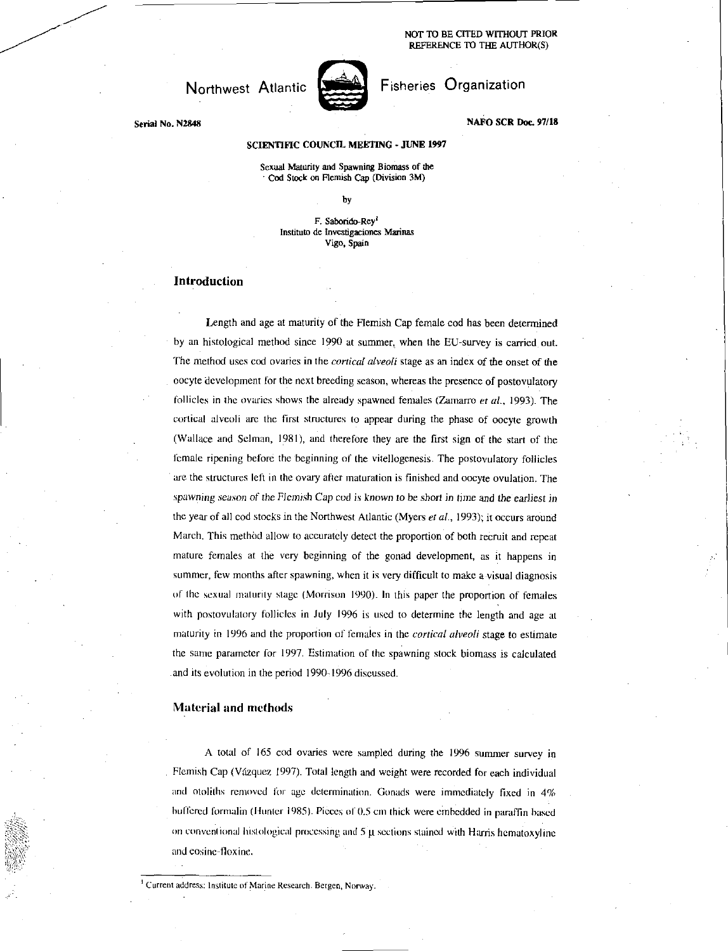NOT TO BE CITED WITHOUT PRIOR REFERENCE TO THE AUTHOR(S)

## Northwest Atlantic



# Fisheries Organization

NAFO SCR Doc. 97/18

### SCIENTIFIC COUNCIL MEETING • JUNE 1997

Sexual Maturity and Spawning Biomass of the ' Cod Stock on Flemish Cap (Division 3M)

by

F. Saborido-Rey<sup>l</sup> Institute de Investigaciones Marinas Vigo, Spain

## Introduction

Serial No. N2848

Length and age at maturity of the Flemish Cap female cod has been determined by an histological method since 1990 at summer, when the EU-survey is carried out. The method uses cod ovaries in the *cortical alveoli* stage as an index of the onset of the oocyte development for the next breeding season, whereas the presence of postovulatory follicles in the ovaries shows the already spawned females (Zamarro *et al.,* 1993). The cortical alveoli are the first structures to appear during the phase of oocyte growth (Wallace and Selman, 1981), and therefore they are the first sign of the start of the female ripening before the beginning of the vitellogenesis. The postovulatory follicles are the structures left in the ovary after maturation is finished and oocyte ovulation. The *spawning season of the* Flemish Cap cod is *known to be short in* time and *the* earliest in the year of all cod stocks in the Northwest Atlantic (Myers *et al.,* 1993); it occurs around March. This method allow to accurately detect the proportion of both recruit and repeat mature females at the very beginning of the gonad development, as it happens in summer, few months after spawning, when it is very difficult to make a visual diagnosis of the sexual maturity stage (Morrison 1990). In this paper the proportion of females with postovulatory follicles in July 1996 is used to determine the length and age at maturity in 1996 and the proportion of females in the *cortical alveoli* stage to estimate the same parameter for 1997. Estimation of the spawning stock biomass is calculated and its evolution in the period 1990-1996 discussed.

#### Material and methods

A total of 165 cod ovaries were sampled during the 1996 summer survey in Flemish Cap (Vazquez 1997). Total length and weight were recorded for each individual and otoliths removed lor age determination. Gonads were immediately fixed in 4% buffered formalin (Hunter 1985). Pieces of 0.5 cm thick were embedded in paraffin based on conventional histological processing and  $5 \mu$  sections stained with Harris hematoxyline and eosine-tloxine.

<sup>1</sup> Current address: Institute of Marine Research. Bergen, Norway.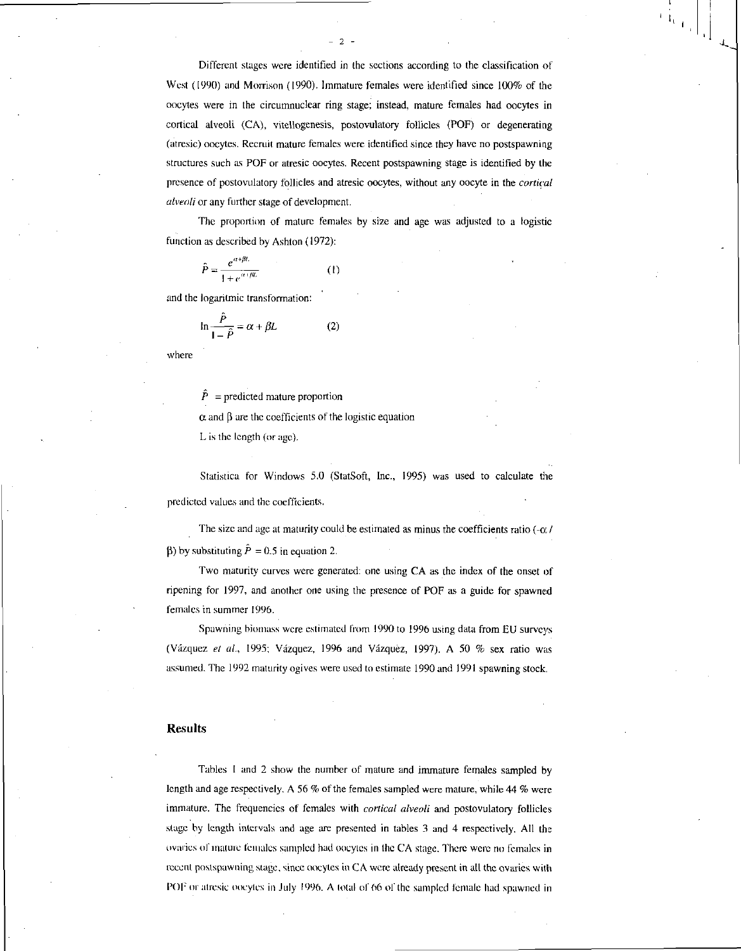Different stages were identified in the sections according to the classification of West (1990) and Morrison (1990). Immature females were identified since 100% of the oocytes were in the circumnuclear ring stage; instead, mature females had oocytes in cortical alveoli (CA), vitellogenesis, postovulatory follicles (POF) or degenerating (atresic) oocytes. Recruit mature females were identified since they have no postspawning structures such as POF or atresic oocytes. Recent postspawning stage is identified by the presence of postovulatory follicles and atresic oocytes, without any oocyte in the *cortical alveoli* or any further stage of development.

- 2 -

The proportion of mature females by size and age was adjusted to a logistic

function as described by Ashton (1972):  
\n
$$
\hat{P} = \frac{e^{\alpha + \beta L}}{1 + e^{\alpha + \beta L}} \qquad (1)
$$

and the logaritmic transformation:

$$
\ln \frac{\hat{P}}{1 - \hat{P}} = \alpha + \beta L \tag{2}
$$

where

 $\hat{P}$  = predicted mature proportion

 $\alpha$  and  $\beta$  are the coefficients of the logistic equation

L is the length (or age).

Statistica for Windows 5.0 (StatSoft, Inc., 1995) was used to calculate the predicted values and the coefficients.

The size and age at maturity could be estimated as minus the coefficients ratio  $(-\alpha)$ (b) by substituting  $\hat{P} = 0.5$  in equation 2.

Two maturity curves were generated: one using CA as the index of the onset of ripening for 1997, and another one using the presence of POF as a guide for spawned females in summer 1996.

Spawning biomass were estimated from 1990 to 1996 using data from EU surveys (Vazquez *et al.,* 1995; Vazquez, 1996 and Vazquez, 1997). A 50 % sex ratio was assumed. The 1992 maturity ogives were used to estimate 1990 and 1991 spawning stock.

#### Results

Tables I and 2 show the number of mature and immature females sampled by length and age respectively. A 56 % of the females sampled were mature, while 44 % were immature. The frequencies of females with *cortical alveoli* and postovulatory follicles stage by length intervals and age are presented in tables 3 and 4 respectively. All the ovaries of mature females sampled had oocytes in the CA stage. There were no females in recent postspawning stage, since oocytes in CA were already present in all the ovaries with POF or atresic oocytes in July 1996. A total of 66 of the sampled female had spawned in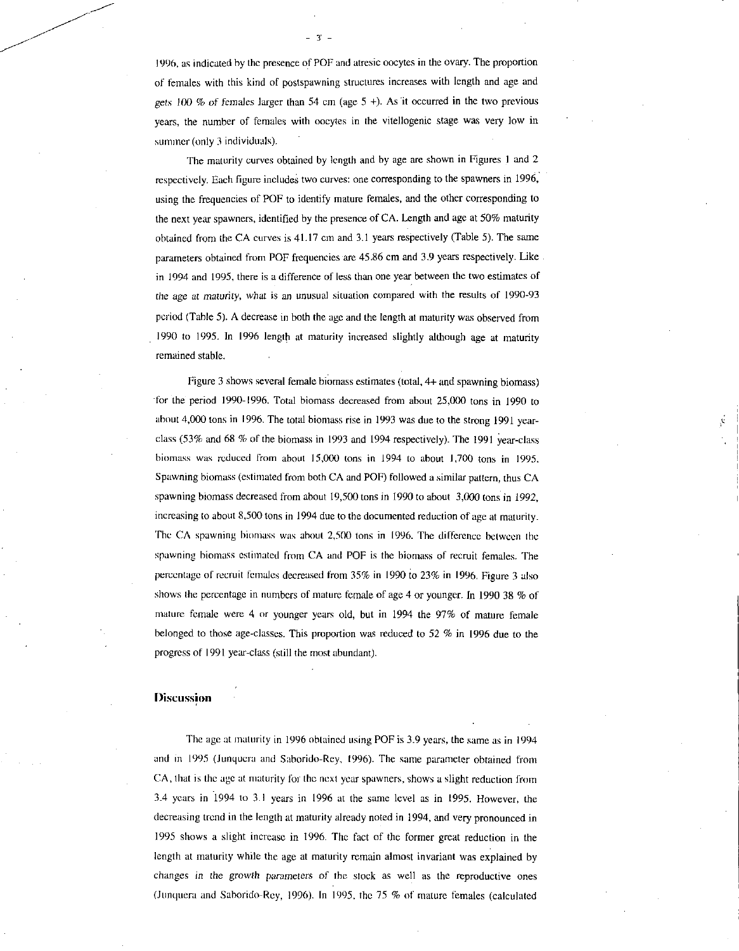1996, as indicated by the presence of POF and atresic oocytes in the ovary. The proportion of females with this kind of postspawning structures increases with length and age and gets 100  $%$  of females larger than 54 cm (age 5 +). As it occurred in the two previous years, the number of females with oocytes in the vitellogenic stage was very low in summer (only 3 individuals).

 $-3' -$ 

The maturity curves obtained by length and by age are shown in Figures I and 2 respectively. Each figure includes two curves: one corresponding to the spawners in 1996, using the frequencies of POF to identify mature females, and the other corresponding to the next year spawners, identified by the presence of CA. Length and age at 50% maturity obtained from the CA curves is 41.17 cm and 3.1 years respectively (Table 5). The same parameters obtained from POF frequencies are 45.86 cm and 3.9 years respectively. Like in 1994 and 1995, there is a difference of less than one year between the two estimates of the *age at maturity,* what is an unusual situation compared with the results of 1990-93 period (Table 5). A decrease in both the age and the length at maturity was observed from 1990 to 1995. In 1996 length at maturity increased slightly although age at maturity remained stable.

Figure 3 shows several female biomass estimates (total, 4+ and spawning biomass) for the period 1990-1996. Total biomass decreased from about 25,000 tons in 1990 to about 4,000 tons in 1996. The total biomass rise in 1993 was due to the strong 1991 yearclass (53% and 68 % of the biomass in 1993 and 1994 respectively). The 1991 year-class biomass was reduced from about 15,000 tons in 1994 to about 1,700 tons in 1995. Spawning biomass (estimated from both CA and POF) followed a similar pattern, thus CA spawning biomass decreased from about 19,500 tons in 1990 to about 3,000 tons in 1992, increasing to about 8,500 tons in 1994 due to the documented reduction of age at maturity. The CA spawning bioniass was about 2,500 tons in 1996. The difference between the spawning biomass estimated from CA and POP is the biomass of recruit females. The percentage of recruit females decreased from 35% in 1990 to 23% in 1996. Figure 3 also shows the percentage in numbers of mature female of age 4 or younger. In 1990 38 % of mature female were 4 or younger years old, but in 1994 the 97% of mature female belonged to those age-classes. This proportion was reduced to 52 % in 1996 due to the progress of 1991 year-class (still the most abundant).

#### **Discussion**

The age at maturity in 1996 obtained using POF is 3.9 years, the same as in 1994 and in 1995 (Junqucra and Saborido-Rey, 1996). The same parameter obtained from CA, that is the age at maturity for the next year spawners, shows a slight reduction from 3.4 years in 1994 to 3.1 years in 1996 at the same level as in 1995. However, the decreasing trend in the length at maturity already noted in 1994, and very pronounced in 1995 shows a slight increase in 1996. The fact of the former great reduction in the length at maturity while the age at maturity remain almost invariant was explained by changes in the growth *parameters* of the stock as well as the reproductive ones (Junquera and Saborido-Rey, 1996). In 1995, the 75 % of mature females (calculated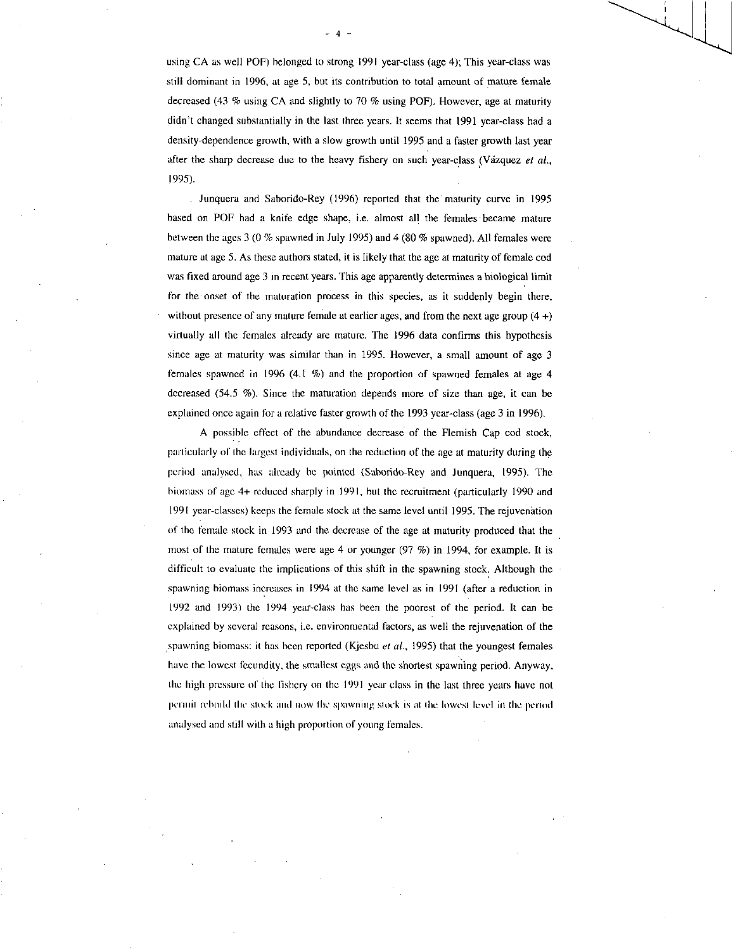using CA as well POF) belonged to strong 1991 year-class (age 4); This year-class was still dominant in 1996, at age 5, but its contribution to total amount of mature female decreased (43 % using CA and slightly to 70 % using POF). However, age at maturity didn't changed substantially in the last three years. It seems that 1991 year-class had a density-dependence growth, with a slow growth until 1995 and a faster growth last year after the sharp decrease due to the heavy fishery on such year-class (Vázquez et al., *1995).* 

Junquera and Saborido-Rey (1996) reported that the maturity curve in 1995 based on POP had a knife edge shape, i.e. almost all the females 'became mature between the ages 3 (0 % spawned in July 1995) and 4 (80 % spawned). All females were mature at age 5. As these authors stated, it is likely that the age at maturity of female cod was fixed around age 3 in recent years. This age apparently determines a biological limit for the onset of the maturation process in this species, as it suddenly begin there, without presence of any mature female at earlier ages, and from the next age group  $(4 +)$ virtually all the females already are mature. The 1996 data confirms this hypothesis since age at maturity was similar than in 1995. However, a small amount of age 3 females spawned in 1996 (4.1 %) and the proportion of spawned females at age 4 decreased (54.5 %). Since the maturation depends more of size than age, it can be explained once again for a relative faster growth of the 1993 year-class (age 3 in 1996).

A possible effect of the abundance decrease of the Flemish Cap cod stock, particularly of the largest individuals, on the reduction of the age at maturity during the period analysed, has already he pointed (Saborido-Rey and Junquera, 1995). The biomass of age 4+ reduced sharply in 1991, but the recruitment (particularly 1990 and 1991 year-classes) keeps the female stock at the same level until 1995. The rejuvenation of the female stock in 1993 and the decrease of the age at maturity produced that the most of the mature females were age 4 or younger (97 %) in 1994, for example. It is difficult to evaluate the implications of this shift in the spawning stock. Although the spawning biomass increases in 1994 at the same level as in 1991 (after a reduction in 1992 and 1993) the 1994 year-class has been the poorest of the period. It can be explained by several reasons, i.e. environmental factors, as well the rejuvenation of the spawning biomass: it has been reported (Kjesbu *et al.,* 1995) that the youngest females have the lowest fecundity, the smallest eggs and the shortest spawning period. Anyway. the high pressure of the fishery on the 1991 year class in the last three years have not permit rebuild the stock and now the spawning stock is at the lowest level in the period analysed and still with a high proportion of young females.

- 4 -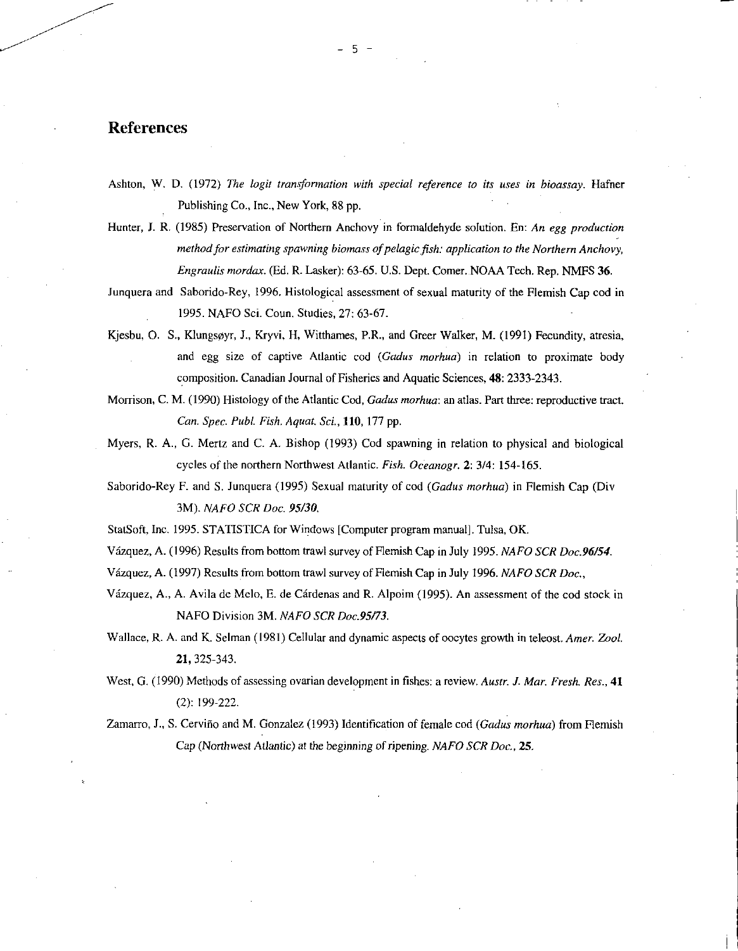# References

Hunter, J. R. (1985) Preservation of Northern Anchovy in formaldehyde solution. En: *An egg production method for estimating spawning biomass of pelagic fish: application to the Northern Anchovy, Engraulis mordax.* (Ed. R. Lasker): 63-65. U.S. Dept. Comer. NOAA Tech. Rep. NMFS 36.

Junquera and Saborido-Rey, 1996. Histological assessment of sexual maturity of the Flemish Cap cod in 1995. NAFO Sci. Coun. Studies, 27: 63-67.

Kjesbu, 0. S., Klungsoyr, J., Kryvi, H, Witthames, P.R., and Greer Walker, M. (1991) Fecundity, atresia, and egg size of captive Atlantic cod *(Gadus morhua)* in relation to proximate body composition. Canadian Journal of Fisheries and Aquatic Sciences, 48: 2333-2343.

Morrison, C. M. (1990) Histology of the Atlantic Cod, *Gadus morhua:* an atlas. Part three: reproductive tract. *Can. Spec. Publ. Fish. Aquat. Sci., 110,* 177 pp.

Myers, R. A., G. Mertz and C. A. Bishop (1993) Cod spawning in relation to physical and biological cycles of the northern Northwest Atlantic. *Fish. Oceanogr.* 2: 3/4: 154-165.

Saborido-Rey F. and S. Junquera (1995) Sexual maturity of cod *(Gadus morhua)* in Flemish Cap (Div 3M). *NAFO SCR Doc. 95/30.* 

StatSoft, Inc. 1995. STATISTICA for Windows [Computer program manual]. Tulsa, OK.

Vazquez, A. (1996) Results from bottom trawl survey of Flemish Cap in July 1995. *NAFO SCR Doc.96/54.* 

Vazquez, A. (1997) Results from bottom trawl survey of Flemish Cap in July 1996. *NAFO SCR Doc.,* 

Vazquez, A., A. Avila de Melo, E. de Cardenas and R. Alpoim (1995). An assessment of the cod stock in NAFO Division 3M. *NAFO SCR Doc.95/73.* 

Wallace, R. A. and K. Selman (1981) Cellular and dynamic aspects of oocytes growth in teleost. *Amer. Zool.*  21, 325-343.

West, G. (1990) Methods of assessing ovarian development in fishes: a review. *Austr. J. Mar. Fresh. Res.*, 41 (2): 199-222.

Zamarro, J., S. Cervifio and M. Gonzalez (1993) Identification of female cod *(Gadus morhua)* from Flemish Cap (Northwest Atlantic) *at* the *beginning* of ripening. *NAFO SCR Doc.,* 25.

Ashton, W. D. (1972) *The logit transformation with special reference to its uses in bioassay.* Hafner Publishing Co., Inc., New York, 88 pp.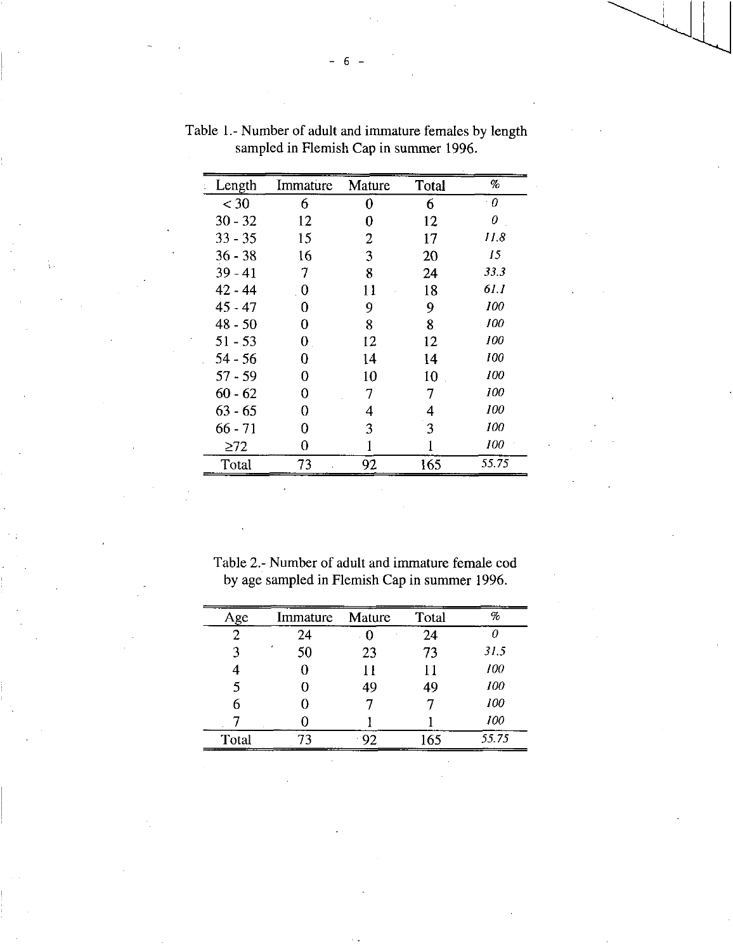| Length    | Immature                 | Mature | Total | %     |
|-----------|--------------------------|--------|-------|-------|
| $<$ 30    | 6                        | 0      | 6     | 0     |
| $30 - 32$ | 12                       | 0      | 12    | 0     |
| $33 - 35$ | 15                       | 2      | 17    | 11.8  |
| $36 - 38$ | 16                       | 3      | 20    | 15    |
| $39 - 41$ | 7                        | 8      | 24    | 33.3  |
| 42 - 44   | $\overline{\phantom{0}}$ | 11     | 18    | 61. I |
| $45 - 47$ | 0                        | 9      | 9     | 100   |
| $48 - 50$ | 0                        | 8      | 8     | 100   |
| $51 - 53$ | 0                        | 12     | 12    | 100   |
| $54 - 56$ | 0                        | 14     | 14    | 100   |
| $57 - 59$ | Ω                        | 10     | 10    | 100   |
| $60 - 62$ | 0                        | 7      | 7     | 100   |
| $63 - 65$ | 0                        | 4      | 4     | 100   |
| 66 - 71   | 0                        | 3      | 3     | 100   |
| $\geq$ 72 | 0                        |        |       | 100   |
| Total     | 73                       | 92     | 165   | 55.75 |
|           |                          |        |       |       |

Table 1.- Number of adult and immature females by length sampled in Flemish Cap in summer 1996.

Table 2.- Number of adult and immature female cod by age sampled in Flemish Cap in summer 1996.

| Age   | Immature | Mature | Total | $\%$  |
|-------|----------|--------|-------|-------|
|       | 24       |        | 24    | Ω     |
| 3     | 50       | 23     | 73    | 31.5  |
|       |          | 11     | 11    | 100   |
|       |          | 49     | 49    | 100   |
| 6     |          |        |       | 100   |
|       |          |        |       | 100   |
| Total |          |        | 165   | 55.75 |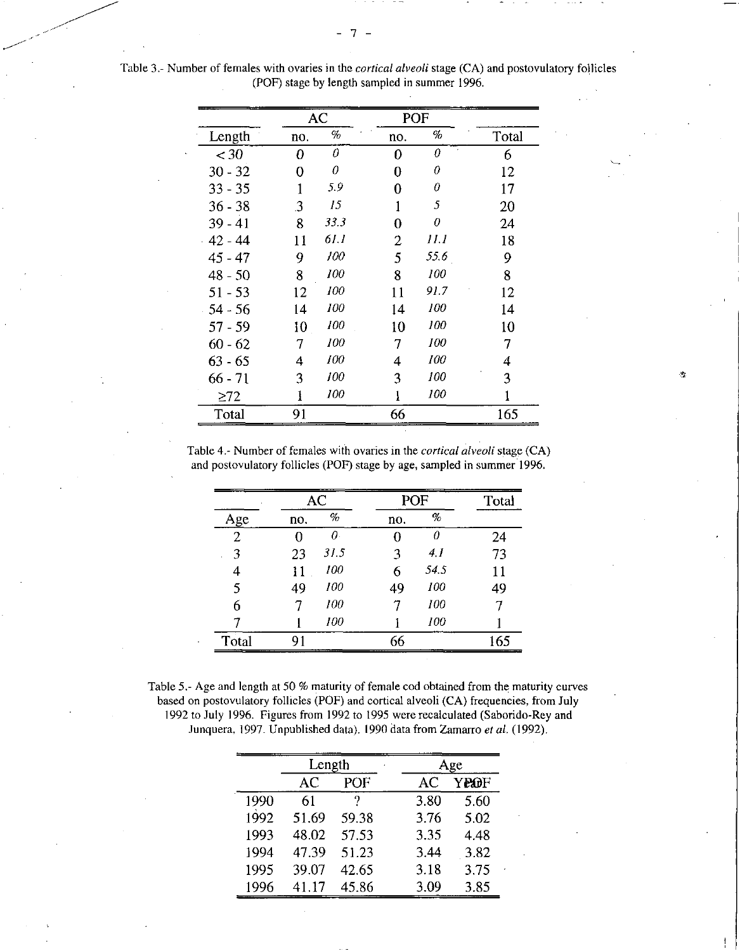|            |     | AC    | POF            |      |       |
|------------|-----|-------|----------------|------|-------|
| Length     | no. | $\%$  | no.            | %    | Total |
| $<$ 30     | 0   | 0     | 0              | 0    | 6     |
| $30 - 32$  | 0   | 0     | 0              | 0    | 12    |
| $33 - 35$  | 1   | 5.9   | 0              | 0    | 17    |
| $36 - 38$  | 3   | 15    |                | 5    | 20    |
| $39 - 41$  | 8   | 33.3  | 0              | 0    | 24    |
| $-42 - 44$ | 11  | 61. I | $\overline{2}$ | 11.1 | 18    |
| $45 - 47$  | 9   | 100   | 5              | 55.6 | 9     |
| $48 - 50$  | 8   | 100   | 8              | 100  | 8     |
| $51 - 53$  | 12  | 100   | 11             | 91.7 | 12    |
| $54 - 56$  | 14  | 100   | 14             | 100  | 14    |
| $57 - 59$  | 10  | 100   | 10             | 100  | 10    |
| $60 - 62$  | 7   | 100   | 7              | 100  | 7     |
| $63 - 65$  | 4   | 100   | 4              | 100  | 4     |
| $66 - 71$  | 3   | 100   | 3              | 100  | 3     |
| $\geq 72$  |     | 100   |                | 100  |       |
| Total      | 91  |       | 66             |      | 165   |

Table 3.- Number of females with ovaries in the *cortical alveoli* stage (CA) and postovulatory follicles (POP) stage by length sampled in summer 1996.

> Table 4.- Number of females with ovaries in the *cortical alveoli* stage (CA) and postovulatory follicles (POF) stage by age, sampled in summer 1996.

्री

|                |     | AC   | POF |      | Total |
|----------------|-----|------|-----|------|-------|
| Age            | no. | $\%$ | no. | $\%$ |       |
| $\overline{2}$ |     | Ω.   |     | Ω    | 24    |
| 3              | 23  | 31.5 | 3   | 4. I | 73    |
| 4              | 11  | 100  | 6   | 54.5 | 11    |
| 5              | 49  | 100  | 49  | 100  | 49    |
| 6              |     | 100  |     | 100  |       |
|                |     | 100  |     | 100  |       |
| Total          | 91  |      | 66  |      | 165   |

Table 5.- Age and length at 50 % maturity of female cod obtained from the maturity curves based on postovulatory follicles (POP) and cortical alveoli (CA) frequencies, from July 1992 to July 1996. Figures from 1992 to 1995 were recalculated (Saborido-Rey and Junquera, 1997. Unpublished data). 1990 data from Zamarro *et al.* (1992).

|      | Length |       |      | Age  |  |
|------|--------|-------|------|------|--|
|      | AС     | POF   | AC   | YE@F |  |
| 1990 | 61     |       | 3.80 | 5.60 |  |
| 1992 | 51.69  | 59.38 | 3.76 | 5.02 |  |
| 1993 | 48.02  | 57.53 | 3.35 | 4.48 |  |
| 1994 | 47.39  | 51.23 | 3.44 | 3.82 |  |
| 1995 | 39.07  | 42.65 | 3.18 | 3.75 |  |
| 1996 | 41.17  | 45.86 | 3.09 | 3.85 |  |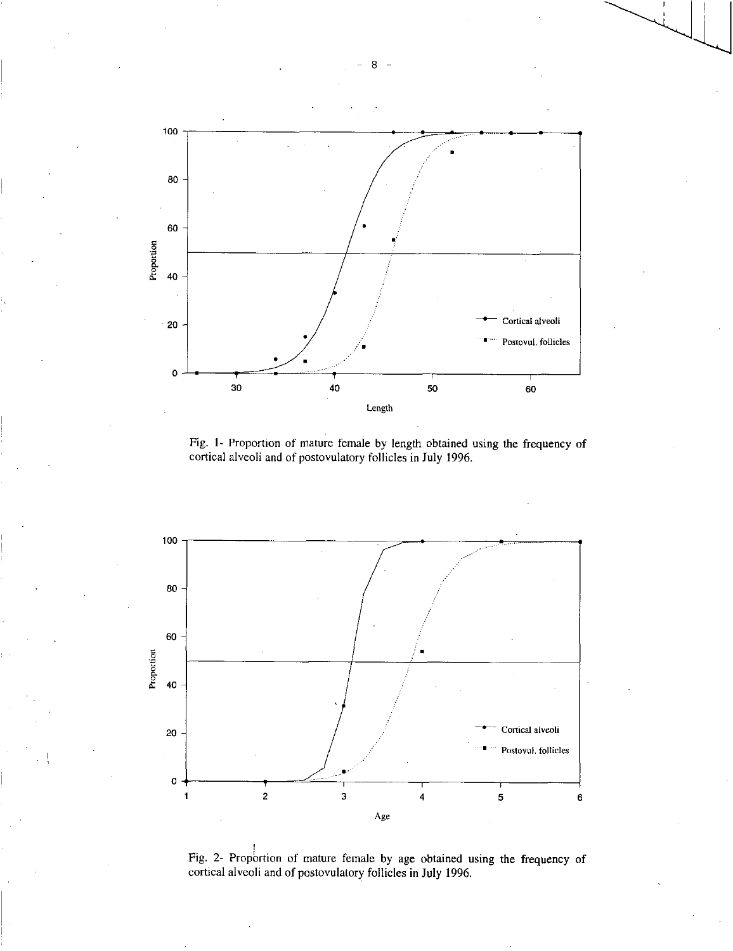

Fig. 1- Proportion of mature female by length obtained using the frequency of cortical alveoli and of postovulatory follicles in July 1996.



Fig. 2- Proportion of mature female by age obtained using the frequency of cortical alveoli and of postovulatory follicles in July 1996.